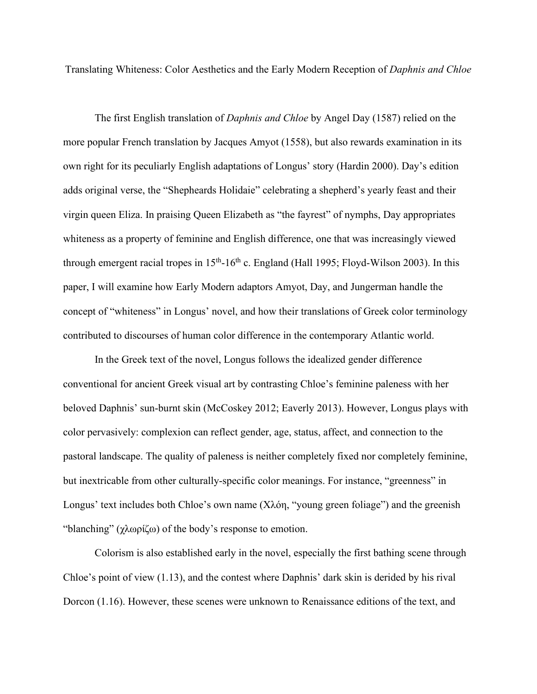Translating Whiteness: Color Aesthetics and the Early Modern Reception of *Daphnis and Chloe*

The first English translation of *Daphnis and Chloe* by Angel Day (1587) relied on the more popular French translation by Jacques Amyot (1558), but also rewards examination in its own right for its peculiarly English adaptations of Longus' story (Hardin 2000). Day's edition adds original verse, the "Shepheards Holidaie" celebrating a shepherd's yearly feast and their virgin queen Eliza. In praising Queen Elizabeth as "the fayrest" of nymphs, Day appropriates whiteness as a property of feminine and English difference, one that was increasingly viewed through emergent racial tropes in  $15<sup>th</sup> - 16<sup>th</sup>$  c. England (Hall 1995; Floyd-Wilson 2003). In this paper, I will examine how Early Modern adaptors Amyot, Day, and Jungerman handle the concept of "whiteness" in Longus' novel, and how their translations of Greek color terminology contributed to discourses of human color difference in the contemporary Atlantic world.

In the Greek text of the novel, Longus follows the idealized gender difference conventional for ancient Greek visual art by contrasting Chloe's feminine paleness with her beloved Daphnis' sun-burnt skin (McCoskey 2012; Eaverly 2013). However, Longus plays with color pervasively: complexion can reflect gender, age, status, affect, and connection to the pastoral landscape. The quality of paleness is neither completely fixed nor completely feminine, but inextricable from other culturally-specific color meanings. For instance, "greenness" in Longus' text includes both Chloe's own name (Χλόη, "young green foliage") and the greenish "blanching" (χλωρίζω) of the body's response to emotion.

Colorism is also established early in the novel, especially the first bathing scene through Chloe's point of view (1.13), and the contest where Daphnis' dark skin is derided by his rival Dorcon (1.16). However, these scenes were unknown to Renaissance editions of the text, and